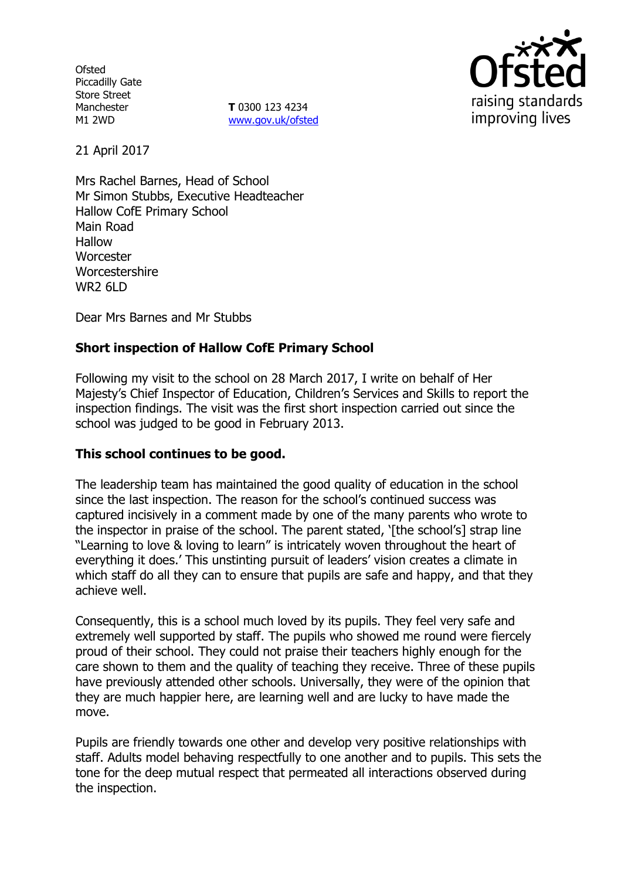**Ofsted** Piccadilly Gate Store Street Manchester M1 2WD

**T** 0300 123 4234 www.gov.uk/ofsted



21 April 2017

Mrs Rachel Barnes, Head of School Mr Simon Stubbs, Executive Headteacher Hallow CofE Primary School Main Road Hallow **Worcester** Worcestershire WR2 6LD

Dear Mrs Barnes and Mr Stubbs

# **Short inspection of Hallow CofE Primary School**

Following my visit to the school on 28 March 2017, I write on behalf of Her Majesty"s Chief Inspector of Education, Children"s Services and Skills to report the inspection findings. The visit was the first short inspection carried out since the school was judged to be good in February 2013.

## **This school continues to be good.**

The leadership team has maintained the good quality of education in the school since the last inspection. The reason for the school"s continued success was captured incisively in a comment made by one of the many parents who wrote to the inspector in praise of the school. The parent stated, 'Ithe school's] strap line "Learning to love & loving to learn" is intricately woven throughout the heart of everything it does.' This unstinting pursuit of leaders' vision creates a climate in which staff do all they can to ensure that pupils are safe and happy, and that they achieve well.

Consequently, this is a school much loved by its pupils. They feel very safe and extremely well supported by staff. The pupils who showed me round were fiercely proud of their school. They could not praise their teachers highly enough for the care shown to them and the quality of teaching they receive. Three of these pupils have previously attended other schools. Universally, they were of the opinion that they are much happier here, are learning well and are lucky to have made the move.

Pupils are friendly towards one other and develop very positive relationships with staff. Adults model behaving respectfully to one another and to pupils. This sets the tone for the deep mutual respect that permeated all interactions observed during the inspection.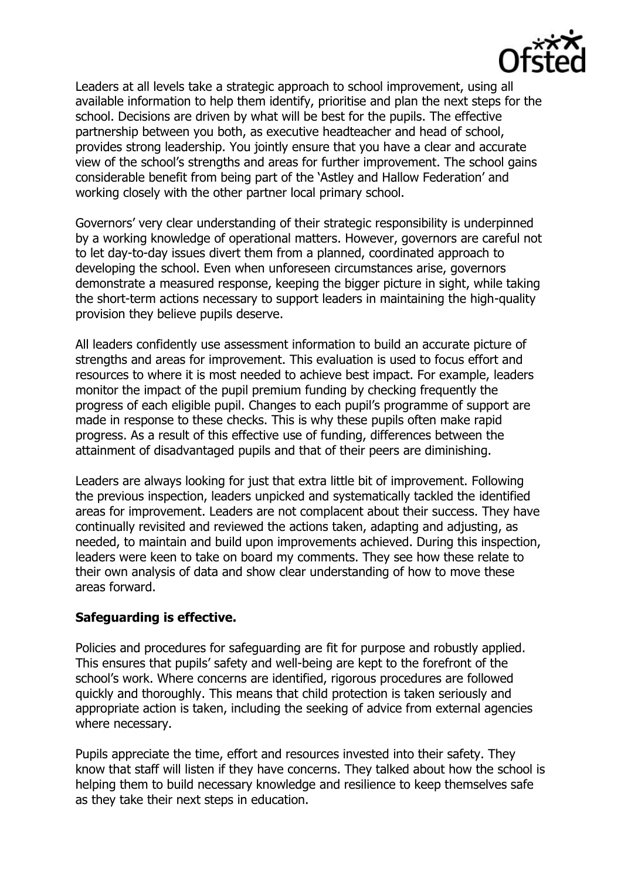

Leaders at all levels take a strategic approach to school improvement, using all available information to help them identify, prioritise and plan the next steps for the school. Decisions are driven by what will be best for the pupils. The effective partnership between you both, as executive headteacher and head of school, provides strong leadership. You jointly ensure that you have a clear and accurate view of the school"s strengths and areas for further improvement. The school gains considerable benefit from being part of the "Astley and Hallow Federation" and working closely with the other partner local primary school.

Governors" very clear understanding of their strategic responsibility is underpinned by a working knowledge of operational matters. However, governors are careful not to let day-to-day issues divert them from a planned, coordinated approach to developing the school. Even when unforeseen circumstances arise, governors demonstrate a measured response, keeping the bigger picture in sight, while taking the short-term actions necessary to support leaders in maintaining the high-quality provision they believe pupils deserve.

All leaders confidently use assessment information to build an accurate picture of strengths and areas for improvement. This evaluation is used to focus effort and resources to where it is most needed to achieve best impact. For example, leaders monitor the impact of the pupil premium funding by checking frequently the progress of each eligible pupil. Changes to each pupil"s programme of support are made in response to these checks. This is why these pupils often make rapid progress. As a result of this effective use of funding, differences between the attainment of disadvantaged pupils and that of their peers are diminishing.

Leaders are always looking for just that extra little bit of improvement. Following the previous inspection, leaders unpicked and systematically tackled the identified areas for improvement. Leaders are not complacent about their success. They have continually revisited and reviewed the actions taken, adapting and adjusting, as needed, to maintain and build upon improvements achieved. During this inspection, leaders were keen to take on board my comments. They see how these relate to their own analysis of data and show clear understanding of how to move these areas forward.

## **Safeguarding is effective.**

Policies and procedures for safeguarding are fit for purpose and robustly applied. This ensures that pupils" safety and well-being are kept to the forefront of the school"s work. Where concerns are identified, rigorous procedures are followed quickly and thoroughly. This means that child protection is taken seriously and appropriate action is taken, including the seeking of advice from external agencies where necessary.

Pupils appreciate the time, effort and resources invested into their safety. They know that staff will listen if they have concerns. They talked about how the school is helping them to build necessary knowledge and resilience to keep themselves safe as they take their next steps in education.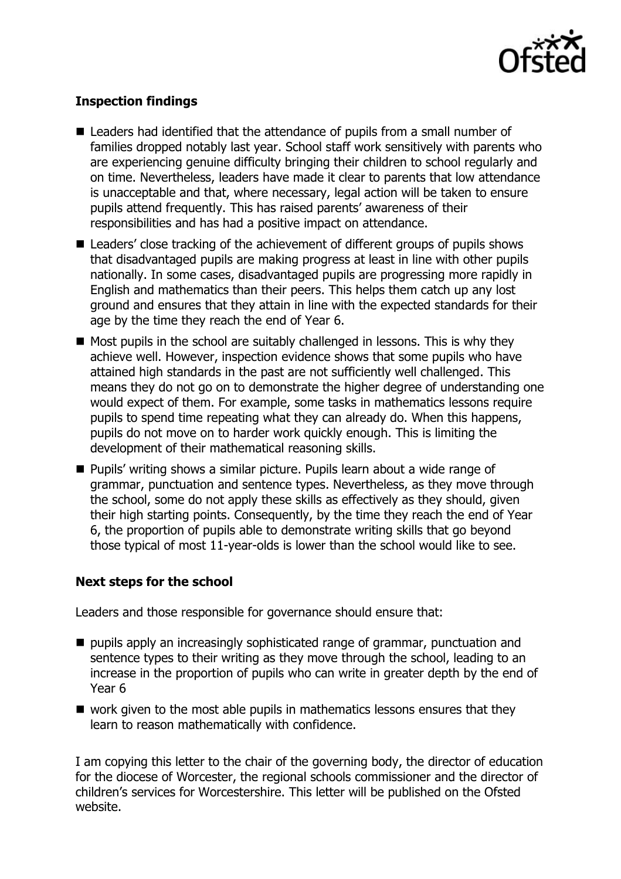

# **Inspection findings**

- Leaders had identified that the attendance of pupils from a small number of families dropped notably last year. School staff work sensitively with parents who are experiencing genuine difficulty bringing their children to school regularly and on time. Nevertheless, leaders have made it clear to parents that low attendance is unacceptable and that, where necessary, legal action will be taken to ensure pupils attend frequently. This has raised parents' awareness of their responsibilities and has had a positive impact on attendance.
- Leaders' close tracking of the achievement of different groups of pupils shows that disadvantaged pupils are making progress at least in line with other pupils nationally. In some cases, disadvantaged pupils are progressing more rapidly in English and mathematics than their peers. This helps them catch up any lost ground and ensures that they attain in line with the expected standards for their age by the time they reach the end of Year 6.
- $\blacksquare$  Most pupils in the school are suitably challenged in lessons. This is why they achieve well. However, inspection evidence shows that some pupils who have attained high standards in the past are not sufficiently well challenged. This means they do not go on to demonstrate the higher degree of understanding one would expect of them. For example, some tasks in mathematics lessons require pupils to spend time repeating what they can already do. When this happens, pupils do not move on to harder work quickly enough. This is limiting the development of their mathematical reasoning skills.
- **Pupils' writing shows a similar picture. Pupils learn about a wide range of** grammar, punctuation and sentence types. Nevertheless, as they move through the school, some do not apply these skills as effectively as they should, given their high starting points. Consequently, by the time they reach the end of Year 6, the proportion of pupils able to demonstrate writing skills that go beyond those typical of most 11-year-olds is lower than the school would like to see.

## **Next steps for the school**

Leaders and those responsible for governance should ensure that:

- $\blacksquare$  pupils apply an increasingly sophisticated range of grammar, punctuation and sentence types to their writing as they move through the school, leading to an increase in the proportion of pupils who can write in greater depth by the end of Year 6
- $\blacksquare$  work given to the most able pupils in mathematics lessons ensures that they learn to reason mathematically with confidence.

I am copying this letter to the chair of the governing body, the director of education for the diocese of Worcester, the regional schools commissioner and the director of children"s services for Worcestershire. This letter will be published on the Ofsted website.